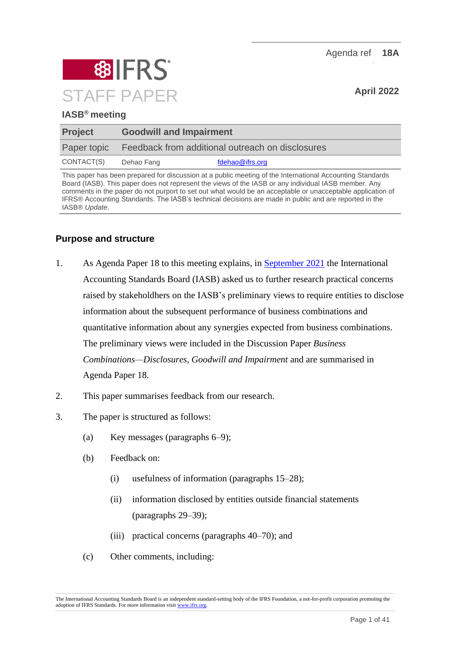

# **IASB® meeting**

| <b>Project</b> | <b>Goodwill and Impairment</b>                   |                 |
|----------------|--------------------------------------------------|-----------------|
| Paper topic    | Feedback from additional outreach on disclosures |                 |
| CONTACT(S)     | Dehao Fang                                       | fdehao@ifrs.org |

This paper has been prepared for discussion at a public meeting of the International Accounting Standards Board (IASB). This paper does not represent the views of the IASB or any individual IASB member. Any comments in the paper do not purport to set out what would be an acceptable or unacceptable application of IFRS® Accounting Standards. The IASB's technical decisions are made in public and are reported in the IASB® *Update*.

# **Purpose and structure**

- 1. As Agenda Paper 18 to this meeting explains, in [September 2021](https://www.ifrs.org/news-and-events/updates/iasb/2021/iasb-update-september-2021/#5) the International Accounting Standards Board (IASB) asked us to further research practical concerns raised by stakeholdhers on the IASB's preliminary views to require entities to disclose information about the subsequent performance of business combinations and quantitative information about any synergies expected from business combinations. The preliminary views were included in the Discussion Paper *Business Combinations—Disclosures, Goodwill and Impairment* and are summarised in Agenda Paper 18.
- 2. This paper summarises feedback from our research.
- 3. The paper is structured as follows:
	- (a) Key messages (paragraphs [6–](#page-1-0)[9\)](#page-2-0);
	- (b) Feedback on:
		- (i) usefulness of information (paragraphs [15–](#page-4-0)[28\)](#page-8-0);
		- (ii) information disclosed by entities outside financial statements (paragraphs [29–](#page-8-1)[39\)](#page-10-0);
		- (iii) practical concerns (paragraphs [40–](#page-11-0)[70\)](#page-23-0); and
	- (c) Other comments, including:

The International Accounting Standards Board is an independent standard-setting body of the IFRS Foundation, a not-for-profit corporation promoting the adoption of IFRS Standards. For more information visi[t www.ifrs.org.](http://www.ifrs.org/)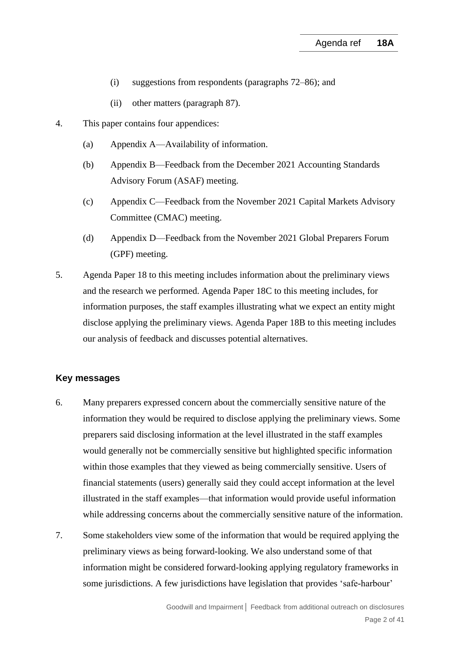- (i) suggestions from respondents (paragraphs [72](#page-23-1)[–86\)](#page-27-0); and
- (ii) other matters (paragraph [87\)](#page-27-1).
- 4. This paper contains four appendices:
	- (a) Appendix A—Availability of information.
	- (b) Appendix B—Feedback from the December 2021 Accounting Standards Advisory Forum (ASAF) meeting.
	- (c) Appendix C—Feedback from the November 2021 Capital Markets Advisory Committee (CMAC) meeting.
	- (d) Appendix D—Feedback from the November 2021 Global Preparers Forum (GPF) meeting.
- 5. Agenda Paper 18 to this meeting includes information about the preliminary views and the research we performed. Agenda Paper 18C to this meeting includes, for information purposes, the staff examples illustrating what we expect an entity might disclose applying the preliminary views. Agenda Paper 18B to this meeting includes our analysis of feedback and discusses potential alternatives.

### **Key messages**

- <span id="page-1-0"></span>6. Many preparers expressed concern about the commercially sensitive nature of the information they would be required to disclose applying the preliminary views. Some preparers said disclosing information at the level illustrated in the staff examples would generally not be commercially sensitive but highlighted specific information within those examples that they viewed as being commercially sensitive. Users of financial statements (users) generally said they could accept information at the level illustrated in the staff examples—that information would provide useful information while addressing concerns about the commercially sensitive nature of the information.
- 7. Some stakeholders view some of the information that would be required applying the preliminary views as being forward-looking. We also understand some of that information might be considered forward-looking applying regulatory frameworks in some jurisdictions. A few jurisdictions have legislation that provides 'safe-harbour'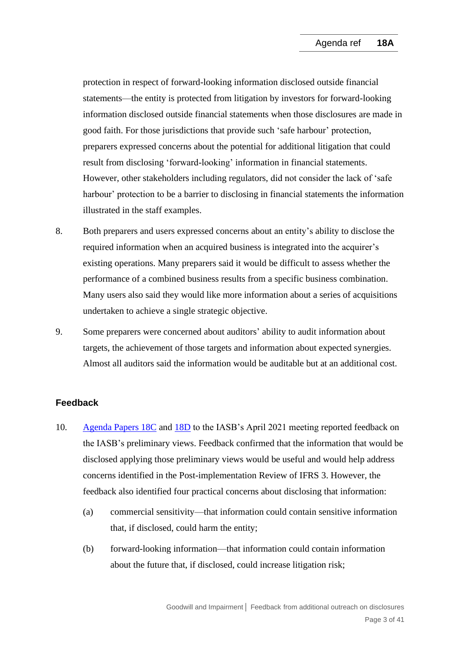protection in respect of forward-looking information disclosed outside financial statements—the entity is protected from litigation by investors for forward-looking information disclosed outside financial statements when those disclosures are made in good faith. For those jurisdictions that provide such 'safe harbour' protection, preparers expressed concerns about the potential for additional litigation that could result from disclosing 'forward-looking' information in financial statements. However, other stakeholders including regulators, did not consider the lack of 'safe harbour' protection to be a barrier to disclosing in financial statements the information illustrated in the staff examples.

- 8. Both preparers and users expressed concerns about an entity's ability to disclose the required information when an acquired business is integrated into the acquirer's existing operations. Many preparers said it would be difficult to assess whether the performance of a combined business results from a specific business combination. Many users also said they would like more information about a series of acquisitions undertaken to achieve a single strategic objective.
- <span id="page-2-0"></span>9. Some preparers were concerned about auditors' ability to audit information about targets, the achievement of those targets and information about expected synergies. Almost all auditors said the information would be auditable but at an additional cost.

# **Feedback**

- <span id="page-2-1"></span>10. [Agenda Papers](https://www.ifrs.org/content/dam/ifrs/meetings/2021/april/iasb/ap18c-goodwill-and-impairment-subsequent-performance-of-acquisitions.pdf) 18C and [18D](https://www.ifrs.org/content/dam/ifrs/meetings/2021/april/iasb/ap18d-goodwill-and-impairment-other-disclosure.pdf) to the IASB's April 2021 meeting reported feedback on the IASB's preliminary views. Feedback confirmed that the information that would be disclosed applying those preliminary views would be useful and would help address concerns identified in the Post-implementation Review of IFRS 3. However, the feedback also identified four practical concerns about disclosing that information:
	- (a) commercial sensitivity—that information could contain sensitive information that, if disclosed, could harm the entity;
	- (b) forward-looking information—that information could contain information about the future that, if disclosed, could increase litigation risk;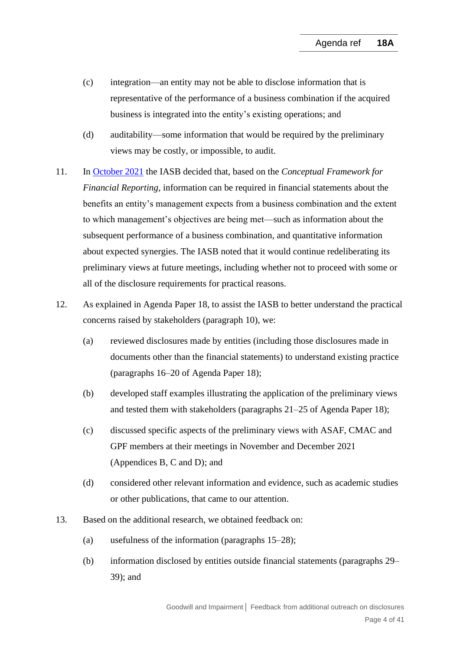- (c) integration—an entity may not be able to disclose information that is representative of the performance of a business combination if the acquired business is integrated into the entity's existing operations; and
- (d) auditability—some information that would be required by the preliminary views may be costly, or impossible, to audit.
- 11. In [October 2021](https://www.ifrs.org/news-and-events/updates/iasb/2021/iasb-update-october-2021/#5) the IASB decided that, based on the *Conceptual Framework for Financial Reporting*, information can be required in financial statements about the benefits an entity's management expects from a business combination and the extent to which management's objectives are being met—such as information about the subsequent performance of a business combination, and quantitative information about expected synergies. The IASB noted that it would continue redeliberating its preliminary views at future meetings, including whether not to proceed with some or all of the disclosure requirements for practical reasons.
- 12. As explained in Agenda Paper 18, to assist the IASB to better understand the practical concerns raised by stakeholders (paragraph [10\)](#page-2-1), we:
	- (a) reviewed disclosures made by entities (including those disclosures made in documents other than the financial statements) to understand existing practice (paragraphs 16–20 of Agenda Paper 18);
	- (b) developed staff examples illustrating the application of the preliminary views and tested them with stakeholders (paragraphs 21–25 of Agenda Paper 18);
	- (c) discussed specific aspects of the preliminary views with ASAF, CMAC and GPF members at their meetings in November and December 2021 (Appendices B, C and D); and
	- (d) considered other relevant information and evidence, such as academic studies or other publications, that came to our attention.
- 13. Based on the additional research, we obtained feedback on:
	- (a) usefulness of the information (paragraphs [15–](#page-4-0)[28\)](#page-8-0);
	- (b) information disclosed by entities outside financial statements (paragraphs [29–](#page-8-1) [39\)](#page-10-0); and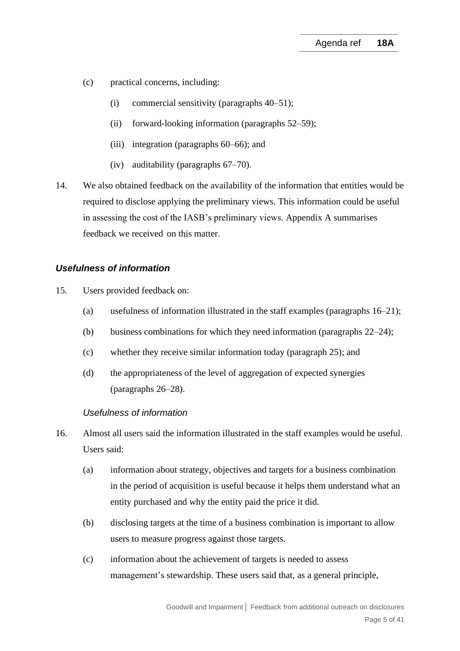- (c) practical concerns, including:
	- (i) commercial sensitivity (paragraphs [40–](#page-11-0)[51\)](#page-15-0);
	- (ii) forward-looking information (paragraphs [52](#page-16-0)[–59\)](#page-19-0);
	- (iii) integration (paragraphs [60–](#page-19-1)[66\)](#page-21-0); and
	- (iv) auditability (paragraphs [67](#page-21-1)[–70\)](#page-23-0).
- 14. We also obtained feedback on the availability of the information that entities would be required to disclose applying the preliminary views. This information could be useful in assessing the cost of the IASB's preliminary views. Appendix A summarises feedback we received on this matter.

### *Usefulness of information*

- <span id="page-4-0"></span>15. Users provided feedback on:
	- (a) usefulness of information illustrated in the staff examples (paragraphs [16–](#page-4-1)[21\)](#page-6-0);
	- (b) business combinations for which they need information (paragraphs [22](#page-6-1)[–24\)](#page-7-0);
	- (c) whether they receive similar information today (paragraph [25\)](#page-7-1); and
	- (d) the appropriateness of the level of aggregation of expected synergies (paragraphs [26–](#page-8-2)[28\)](#page-8-0).

#### *Usefulness of information*

- <span id="page-4-1"></span>16. Almost all users said the information illustrated in the staff examples would be useful. Users said:
	- (a) information about strategy, objectives and targets for a business combination in the period of acquisition is useful because it helps them understand what an entity purchased and why the entity paid the price it did.
	- (b) disclosing targets at the time of a business combination is important to allow users to measure progress against those targets.
	- (c) information about the achievement of targets is needed to assess management's stewardship. These users said that, as a general principle,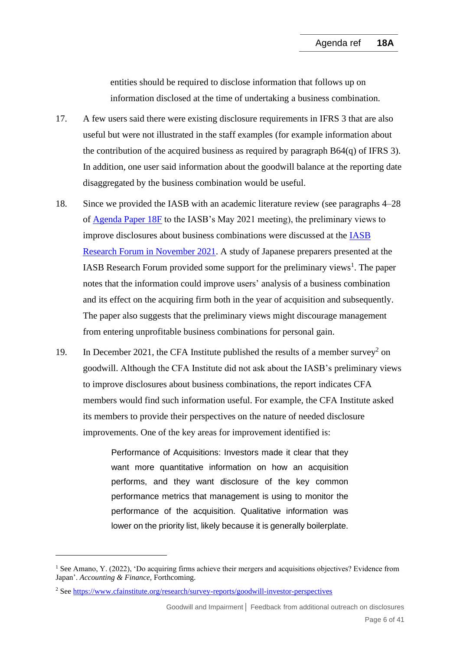entities should be required to disclose information that follows up on information disclosed at the time of undertaking a business combination.

- 17. A few users said there were existing disclosure requirements in IFRS 3 that are also useful but were not illustrated in the staff examples (for example information about the contribution of the acquired business as required by paragraph B64(q) of IFRS 3). In addition, one user said information about the goodwill balance at the reporting date disaggregated by the business combination would be useful.
- 18. Since we provided the IASB with an academic literature review (see paragraphs 4–28 of [Agenda Paper 18F](https://www.ifrs.org/content/dam/ifrs/meetings/2021/may/iasb/ap18f-academic-evidence.pdf) to the IASB's May 2021 meeting), the preliminary views to improve disclosures about business combinations were discussed at the [IASB](https://www.ifrs.org/news-and-events/events/2021/november/iasb-research-forum-2021/)  [Research Forum in November 2021.](https://www.ifrs.org/news-and-events/events/2021/november/iasb-research-forum-2021/) A study of Japanese preparers presented at the IASB Research Forum provided some support for the preliminary views<sup>1</sup>. The paper notes that the information could improve users' analysis of a business combination and its effect on the acquiring firm both in the year of acquisition and subsequently. The paper also suggests that the preliminary views might discourage management from entering unprofitable business combinations for personal gain.
- 19. In December 2021, the CFA Institute published the results of a member survey<sup>2</sup> on goodwill. Although the CFA Institute did not ask about the IASB's preliminary views to improve disclosures about business combinations, the report indicates CFA members would find such information useful. For example, the CFA Institute asked its members to provide their perspectives on the nature of needed disclosure improvements. One of the key areas for improvement identified is:

Performance of Acquisitions: Investors made it clear that they want more quantitative information on how an acquisition performs, and they want disclosure of the key common performance metrics that management is using to monitor the performance of the acquisition. Qualitative information was lower on the priority list, likely because it is generally boilerplate.

<sup>1</sup> See Amano, Y. (2022), 'Do acquiring firms achieve their mergers and acquisitions objectives? Evidence from Japan'. *Accounting & Finance,* Forthcoming.

<sup>2</sup> Se[e https://www.cfainstitute.org/research/survey-reports/goodwill-investor-perspectives](https://www.cfainstitute.org/research/survey-reports/goodwill-investor-perspectives)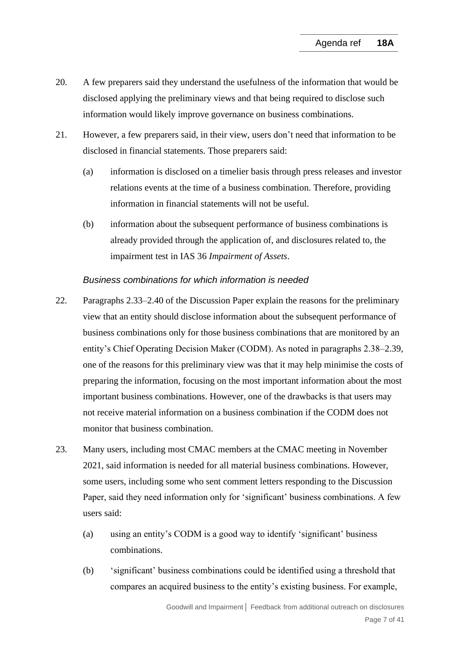- 20. A few preparers said they understand the usefulness of the information that would be disclosed applying the preliminary views and that being required to disclose such information would likely improve governance on business combinations.
- <span id="page-6-0"></span>21. However, a few preparers said, in their view, users don't need that information to be disclosed in financial statements. Those preparers said:
	- (a) information is disclosed on a timelier basis through press releases and investor relations events at the time of a business combination. Therefore, providing information in financial statements will not be useful.
	- (b) information about the subsequent performance of business combinations is already provided through the application of, and disclosures related to, the impairment test in IAS 36 *Impairment of Assets*.

# *Business combinations for which information is needed*

- <span id="page-6-1"></span>22. Paragraphs 2.33–2.40 of the Discussion Paper explain the reasons for the preliminary view that an entity should disclose information about the subsequent performance of business combinations only for those business combinations that are monitored by an entity's Chief Operating Decision Maker (CODM). As noted in paragraphs 2.38–2.39, one of the reasons for this preliminary view was that it may help minimise the costs of preparing the information, focusing on the most important information about the most important business combinations. However, one of the drawbacks is that users may not receive material information on a business combination if the CODM does not monitor that business combination.
- 23. Many users, including most CMAC members at the CMAC meeting in November 2021, said information is needed for all material business combinations. However, some users, including some who sent comment letters responding to the Discussion Paper, said they need information only for 'significant' business combinations. A few users said:
	- (a) using an entity's CODM is a good way to identify 'significant' business combinations.
	- (b) 'significant' business combinations could be identified using a threshold that compares an acquired business to the entity's existing business. For example,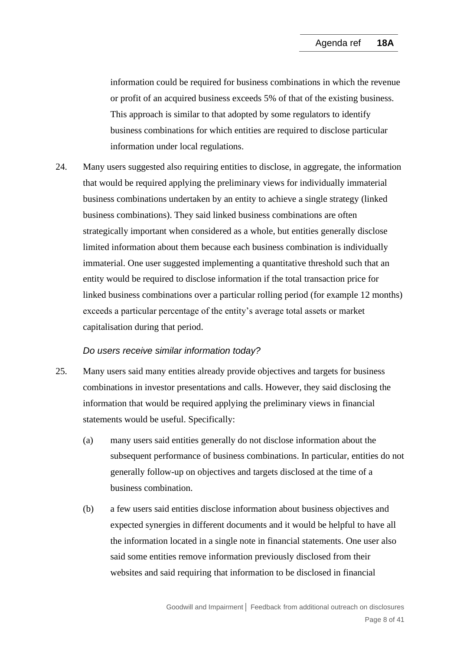information could be required for business combinations in which the revenue or profit of an acquired business exceeds 5% of that of the existing business. This approach is similar to that adopted by some regulators to identify business combinations for which entities are required to disclose particular information under local regulations.

<span id="page-7-0"></span>24. Many users suggested also requiring entities to disclose, in aggregate, the information that would be required applying the preliminary views for individually immaterial business combinations undertaken by an entity to achieve a single strategy (linked business combinations). They said linked business combinations are often strategically important when considered as a whole, but entities generally disclose limited information about them because each business combination is individually immaterial. One user suggested implementing a quantitative threshold such that an entity would be required to disclose information if the total transaction price for linked business combinations over a particular rolling period (for example 12 months) exceeds a particular percentage of the entity's average total assets or market capitalisation during that period.

# *Do users receive similar information today?*

- <span id="page-7-1"></span>25. Many users said many entities already provide objectives and targets for business combinations in investor presentations and calls. However, they said disclosing the information that would be required applying the preliminary views in financial statements would be useful. Specifically:
	- (a) many users said entities generally do not disclose information about the subsequent performance of business combinations. In particular, entities do not generally follow-up on objectives and targets disclosed at the time of a business combination.
	- (b) a few users said entities disclose information about business objectives and expected synergies in different documents and it would be helpful to have all the information located in a single note in financial statements. One user also said some entities remove information previously disclosed from their websites and said requiring that information to be disclosed in financial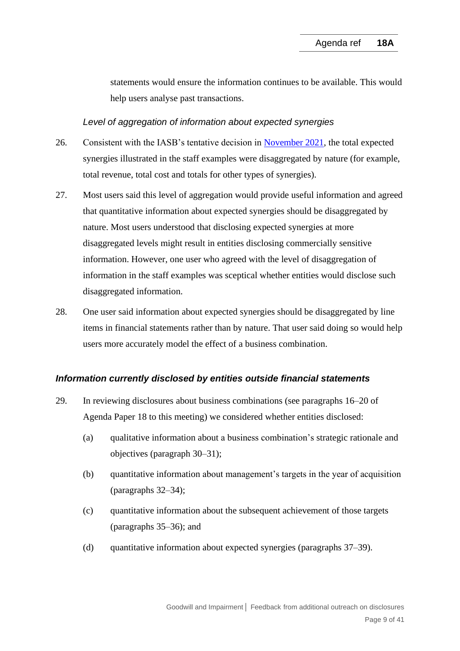statements would ensure the information continues to be available. This would help users analyse past transactions.

#### *Level of aggregation of information about expected synergies*

- <span id="page-8-2"></span>26. Consistent with the IASB's tentative decision in [November 2021,](https://www.ifrs.org/news-and-events/updates/iasb/2021/iasb-update-november-2021/#5) the total expected synergies illustrated in the staff examples were disaggregated by nature (for example, total revenue, total cost and totals for other types of synergies).
- 27. Most users said this level of aggregation would provide useful information and agreed that quantitative information about expected synergies should be disaggregated by nature. Most users understood that disclosing expected synergies at more disaggregated levels might result in entities disclosing commercially sensitive information. However, one user who agreed with the level of disaggregation of information in the staff examples was sceptical whether entities would disclose such disaggregated information.
- <span id="page-8-0"></span>28. One user said information about expected synergies should be disaggregated by line items in financial statements rather than by nature. That user said doing so would help users more accurately model the effect of a business combination.

#### *Information currently disclosed by entities outside financial statements*

- <span id="page-8-1"></span>29. In reviewing disclosures about business combinations (see paragraphs 16–20 of Agenda Paper 18 to this meeting) we considered whether entities disclosed:
	- (a) qualitative information about a business combination's strategic rationale and objectives (paragraph [30](#page-9-0)[–31\)](#page-9-1);
	- (b) quantitative information about management's targets in the year of acquisition (paragraphs [32–](#page-9-2)[34\)](#page-9-3);
	- (c) quantitative information about the subsequent achievement of those targets (paragraphs [35–](#page-10-1)[36\)](#page-10-2); and
	- (d) quantitative information about expected synergies (paragraphs [37–](#page-10-3)[39\)](#page-10-0).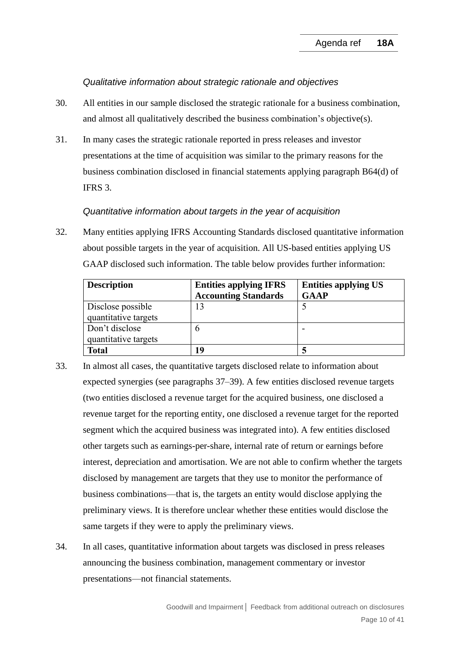#### *Qualitative information about strategic rationale and objectives*

- <span id="page-9-0"></span>30. All entities in our sample disclosed the strategic rationale for a business combination, and almost all qualitatively described the business combination's objective(s).
- <span id="page-9-1"></span>31. In many cases the strategic rationale reported in press releases and investor presentations at the time of acquisition was similar to the primary reasons for the business combination disclosed in financial statements applying paragraph B64(d) of IFRS 3.

### *Quantitative information about targets in the year of acquisition*

<span id="page-9-2"></span>32. Many entities applying IFRS Accounting Standards disclosed quantitative information about possible targets in the year of acquisition. All US-based entities applying US GAAP disclosed such information. The table below provides further information:

| <b>Description</b>   | <b>Entities applying IFRS</b> | <b>Entities applying US</b> |  |
|----------------------|-------------------------------|-----------------------------|--|
|                      | <b>Accounting Standards</b>   | <b>GAAP</b>                 |  |
| Disclose possible    | 13                            |                             |  |
| quantitative targets |                               |                             |  |
| Don't disclose       | h                             |                             |  |
| quantitative targets |                               |                             |  |
| <b>Total</b>         | 19                            |                             |  |

- 33. In almost all cases, the quantitative targets disclosed relate to information about expected synergies (see paragraphs [37–](#page-10-3)[39\)](#page-10-0). A few entities disclosed revenue targets (two entities disclosed a revenue target for the acquired business, one disclosed a revenue target for the reporting entity, one disclosed a revenue target for the reported segment which the acquired business was integrated into). A few entities disclosed other targets such as earnings-per-share, internal rate of return or earnings before interest, depreciation and amortisation. We are not able to confirm whether the targets disclosed by management are targets that they use to monitor the performance of business combinations—that is, the targets an entity would disclose applying the preliminary views. It is therefore unclear whether these entities would disclose the same targets if they were to apply the preliminary views.
- <span id="page-9-3"></span>34. In all cases, quantitative information about targets was disclosed in press releases announcing the business combination, management commentary or investor presentations—not financial statements.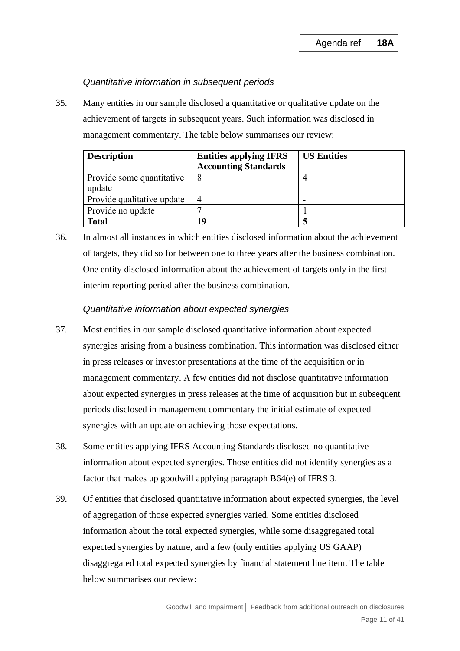### *Quantitative information in subsequent periods*

<span id="page-10-1"></span>35. Many entities in our sample disclosed a quantitative or qualitative update on the achievement of targets in subsequent years. Such information was disclosed in management commentary. The table below summarises our review:

| <b>Description</b>         | <b>Entities applying IFRS</b> | <b>US Entities</b> |
|----------------------------|-------------------------------|--------------------|
|                            | <b>Accounting Standards</b>   |                    |
| Provide some quantitative  |                               |                    |
| update                     |                               |                    |
| Provide qualitative update |                               |                    |
| Provide no update          |                               |                    |
| <b>Total</b>               | 19                            |                    |

<span id="page-10-2"></span>36. In almost all instances in which entities disclosed information about the achievement of targets, they did so for between one to three years after the business combination. One entity disclosed information about the achievement of targets only in the first interim reporting period after the business combination.

### *Quantitative information about expected synergies*

- <span id="page-10-3"></span>37. Most entities in our sample disclosed quantitative information about expected synergies arising from a business combination. This information was disclosed either in press releases or investor presentations at the time of the acquisition or in management commentary. A few entities did not disclose quantitative information about expected synergies in press releases at the time of acquisition but in subsequent periods disclosed in management commentary the initial estimate of expected synergies with an update on achieving those expectations.
- 38. Some entities applying IFRS Accounting Standards disclosed no quantitative information about expected synergies. Those entities did not identify synergies as a factor that makes up goodwill applying paragraph B64(e) of IFRS 3.
- <span id="page-10-0"></span>39. Of entities that disclosed quantitative information about expected synergies, the level of aggregation of those expected synergies varied. Some entities disclosed information about the total expected synergies, while some disaggregated total expected synergies by nature, and a few (only entities applying US GAAP) disaggregated total expected synergies by financial statement line item. The table below summarises our review: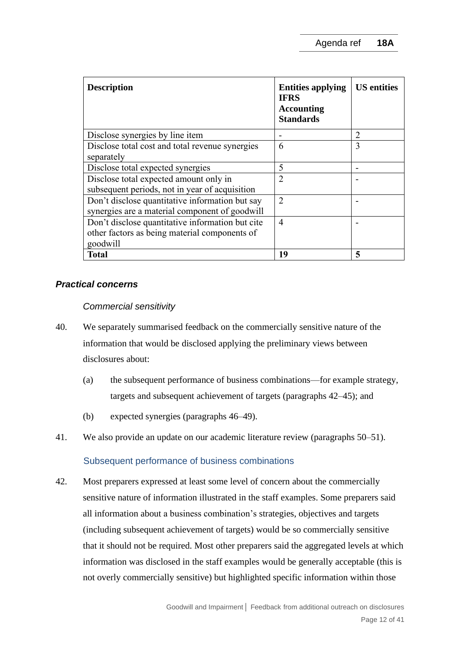| <b>Description</b>                                                                                            | <b>Entities applying</b><br><b>IFRS</b><br><b>Accounting</b><br><b>Standards</b> | <b>US</b> entities |
|---------------------------------------------------------------------------------------------------------------|----------------------------------------------------------------------------------|--------------------|
| Disclose synergies by line item                                                                               |                                                                                  | 2                  |
| Disclose total cost and total revenue synergies<br>separately                                                 | 6                                                                                | 3                  |
| Disclose total expected synergies                                                                             | 5                                                                                |                    |
| Disclose total expected amount only in<br>subsequent periods, not in year of acquisition                      | $\overline{2}$                                                                   |                    |
| Don't disclose quantitative information but say<br>synergies are a material component of goodwill             | $\overline{2}$                                                                   |                    |
| Don't disclose quantitative information but cite<br>other factors as being material components of<br>goodwill | 4                                                                                |                    |
| <b>Total</b>                                                                                                  | 19                                                                               | 5                  |

# *Practical concerns*

# *Commercial sensitivity*

- <span id="page-11-0"></span>40. We separately summarised feedback on the commercially sensitive nature of the information that would be disclosed applying the preliminary views between disclosures about:
	- (a) the subsequent performance of business combinations—for example strategy, targets and subsequent achievement of targets (paragraphs [42–](#page-11-1)[45\)](#page-14-0); and
	- (b) expected synergies (paragraphs [46–](#page-14-1)[49\)](#page-15-1).
- 41. We also provide an update on our academic literature review (paragraphs [50–](#page-15-2)[51\)](#page-15-0).

# Subsequent performance of business combinations

<span id="page-11-1"></span>42. Most preparers expressed at least some level of concern about the commercially sensitive nature of information illustrated in the staff examples. Some preparers said all information about a business combination's strategies, objectives and targets (including subsequent achievement of targets) would be so commercially sensitive that it should not be required. Most other preparers said the aggregated levels at which information was disclosed in the staff examples would be generally acceptable (this is not overly commercially sensitive) but highlighted specific information within those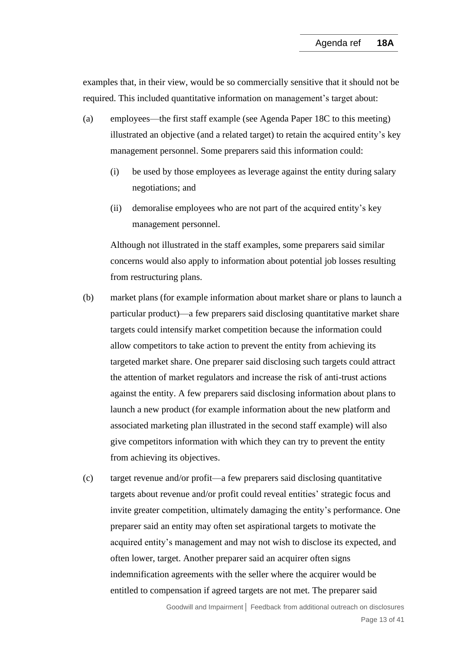examples that, in their view, would be so commercially sensitive that it should not be required. This included quantitative information on management's target about:

- (a) employees—the first staff example (see Agenda Paper 18C to this meeting) illustrated an objective (and a related target) to retain the acquired entity's key management personnel. Some preparers said this information could:
	- (i) be used by those employees as leverage against the entity during salary negotiations; and
	- (ii) demoralise employees who are not part of the acquired entity's key management personnel.

Although not illustrated in the staff examples, some preparers said similar concerns would also apply to information about potential job losses resulting from restructuring plans.

- (b) market plans (for example information about market share or plans to launch a particular product)—a few preparers said disclosing quantitative market share targets could intensify market competition because the information could allow competitors to take action to prevent the entity from achieving its targeted market share. One preparer said disclosing such targets could attract the attention of market regulators and increase the risk of anti-trust actions against the entity. A few preparers said disclosing information about plans to launch a new product (for example information about the new platform and associated marketing plan illustrated in the second staff example) will also give competitors information with which they can try to prevent the entity from achieving its objectives.
- (c) target revenue and/or profit—a few preparers said disclosing quantitative targets about revenue and/or profit could reveal entities' strategic focus and invite greater competition, ultimately damaging the entity's performance. One preparer said an entity may often set aspirational targets to motivate the acquired entity's management and may not wish to disclose its expected, and often lower, target. Another preparer said an acquirer often signs indemnification agreements with the seller where the acquirer would be entitled to compensation if agreed targets are not met. The preparer said

Goodwill and Impairment**│** Feedback from additional outreach on disclosures Page 13 of 41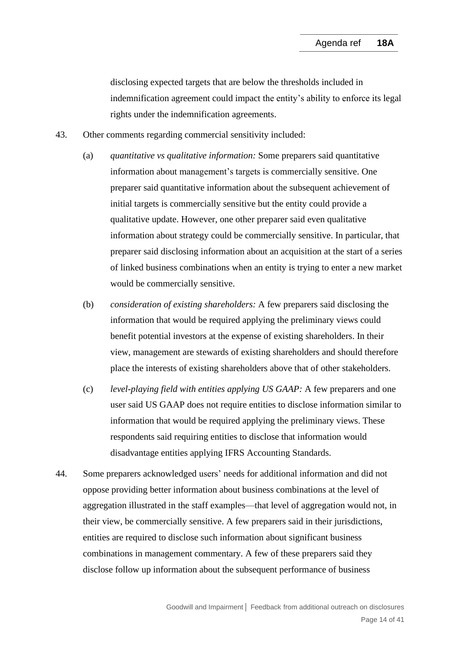disclosing expected targets that are below the thresholds included in indemnification agreement could impact the entity's ability to enforce its legal rights under the indemnification agreements.

- 43. Other comments regarding commercial sensitivity included:
	- (a) *quantitative vs qualitative information:* Some preparers said quantitative information about management's targets is commercially sensitive. One preparer said quantitative information about the subsequent achievement of initial targets is commercially sensitive but the entity could provide a qualitative update. However, one other preparer said even qualitative information about strategy could be commercially sensitive. In particular, that preparer said disclosing information about an acquisition at the start of a series of linked business combinations when an entity is trying to enter a new market would be commercially sensitive.
	- (b) *consideration of existing shareholders:* A few preparers said disclosing the information that would be required applying the preliminary views could benefit potential investors at the expense of existing shareholders. In their view, management are stewards of existing shareholders and should therefore place the interests of existing shareholders above that of other stakeholders.
	- (c) *level-playing field with entities applying US GAAP:* A few preparers and one user said US GAAP does not require entities to disclose information similar to information that would be required applying the preliminary views. These respondents said requiring entities to disclose that information would disadvantage entities applying IFRS Accounting Standards.
- 44. Some preparers acknowledged users' needs for additional information and did not oppose providing better information about business combinations at the level of aggregation illustrated in the staff examples—that level of aggregation would not, in their view, be commercially sensitive. A few preparers said in their jurisdictions, entities are required to disclose such information about significant business combinations in management commentary. A few of these preparers said they disclose follow up information about the subsequent performance of business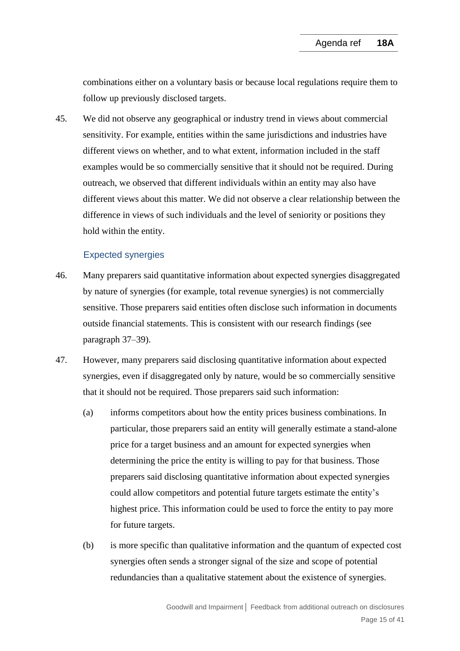combinations either on a voluntary basis or because local regulations require them to follow up previously disclosed targets.

<span id="page-14-0"></span>45. We did not observe any geographical or industry trend in views about commercial sensitivity. For example, entities within the same jurisdictions and industries have different views on whether, and to what extent, information included in the staff examples would be so commercially sensitive that it should not be required. During outreach, we observed that different individuals within an entity may also have different views about this matter. We did not observe a clear relationship between the difference in views of such individuals and the level of seniority or positions they hold within the entity.

# Expected synergies

- <span id="page-14-1"></span>46. Many preparers said quantitative information about expected synergies disaggregated by nature of synergies (for example, total revenue synergies) is not commercially sensitive. Those preparers said entities often disclose such information in documents outside financial statements. This is consistent with our research findings (see paragraph [37–](#page-10-3)[39\)](#page-10-0).
- 47. However, many preparers said disclosing quantitative information about expected synergies, even if disaggregated only by nature, would be so commercially sensitive that it should not be required. Those preparers said such information:
	- (a) informs competitors about how the entity prices business combinations. In particular, those preparers said an entity will generally estimate a stand-alone price for a target business and an amount for expected synergies when determining the price the entity is willing to pay for that business. Those preparers said disclosing quantitative information about expected synergies could allow competitors and potential future targets estimate the entity's highest price. This information could be used to force the entity to pay more for future targets.
	- (b) is more specific than qualitative information and the quantum of expected cost synergies often sends a stronger signal of the size and scope of potential redundancies than a qualitative statement about the existence of synergies.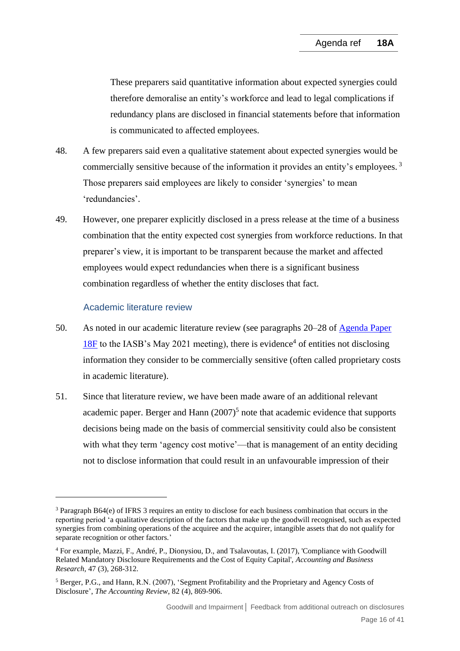These preparers said quantitative information about expected synergies could therefore demoralise an entity's workforce and lead to legal complications if redundancy plans are disclosed in financial statements before that information is communicated to affected employees.

- 48. A few preparers said even a qualitative statement about expected synergies would be commercially sensitive because of the information it provides an entity's employees.<sup>3</sup> Those preparers said employees are likely to consider 'synergies' to mean 'redundancies'.
- <span id="page-15-1"></span>49. However, one preparer explicitly disclosed in a press release at the time of a business combination that the entity expected cost synergies from workforce reductions. In that preparer's view, it is important to be transparent because the market and affected employees would expect redundancies when there is a significant business combination regardless of whether the entity discloses that fact.

# Academic literature review

- <span id="page-15-2"></span>50. As noted in our academic literature review (see paragraphs 20–28 of [Agenda Paper](https://www.ifrs.org/content/dam/ifrs/meetings/2021/may/iasb/ap18f-academic-evidence.pdf)   $18F$  to the IASB's May 2021 meeting), there is evidence<sup>4</sup> of entities not disclosing information they consider to be commercially sensitive (often called proprietary costs in academic literature).
- <span id="page-15-0"></span>51. Since that literature review, we have been made aware of an additional relevant academic paper. Berger and Hann  $(2007)^5$  note that academic evidence that supports decisions being made on the basis of commercial sensitivity could also be consistent with what they term 'agency cost motive'—that is management of an entity deciding not to disclose information that could result in an unfavourable impression of their

<sup>3</sup> Paragraph B64(e) of IFRS 3 requires an entity to disclose for each business combination that occurs in the reporting period 'a qualitative description of the factors that make up the goodwill recognised, such as expected synergies from combining operations of the acquiree and the acquirer, intangible assets that do not qualify for separate recognition or other factors.'

<sup>4</sup> For example, Mazzi, F., André, P., Dionysiou, D., and Tsalavoutas, I. (2017), 'Compliance with Goodwill Related Mandatory Disclosure Requirements and the Cost of Equity Capital', *Accounting and Business Research*, 47 (3), 268-312.

<sup>5</sup> Berger, P.G., and Hann, R.N. (2007), 'Segment Profitability and the Proprietary and Agency Costs of Disclosure', *The Accounting Review*, 82 (4), 869-906.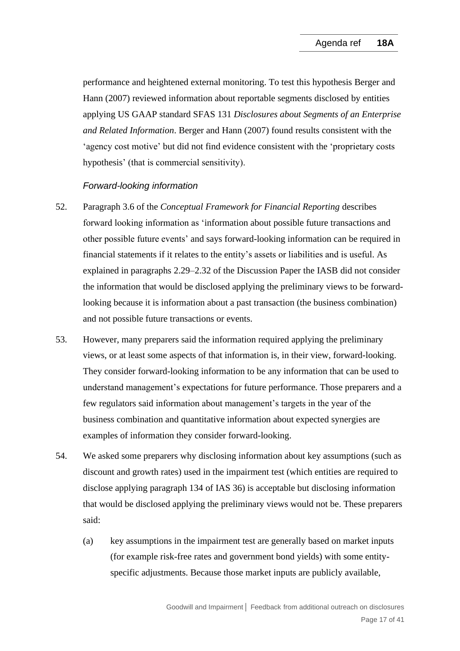performance and heightened external monitoring. To test this hypothesis Berger and Hann (2007) reviewed information about reportable segments disclosed by entities applying US GAAP standard SFAS 131 *Disclosures about Segments of an Enterprise and Related Information*. Berger and Hann (2007) found results consistent with the 'agency cost motive' but did not find evidence consistent with the 'proprietary costs hypothesis' (that is commercial sensitivity).

# *Forward-looking information*

- <span id="page-16-0"></span>52. Paragraph 3.6 of the *Conceptual Framework for Financial Reporting* describes forward looking information as 'information about possible future transactions and other possible future events' and says forward-looking information can be required in financial statements if it relates to the entity's assets or liabilities and is useful. As explained in paragraphs 2.29–2.32 of the Discussion Paper the IASB did not consider the information that would be disclosed applying the preliminary views to be forwardlooking because it is information about a past transaction (the business combination) and not possible future transactions or events.
- 53. However, many preparers said the information required applying the preliminary views, or at least some aspects of that information is, in their view, forward-looking. They consider forward-looking information to be any information that can be used to understand management's expectations for future performance. Those preparers and a few regulators said information about management's targets in the year of the business combination and quantitative information about expected synergies are examples of information they consider forward-looking.
- <span id="page-16-1"></span>54. We asked some preparers why disclosing information about key assumptions (such as discount and growth rates) used in the impairment test (which entities are required to disclose applying paragraph 134 of IAS 36) is acceptable but disclosing information that would be disclosed applying the preliminary views would not be. These preparers said:
	- (a) key assumptions in the impairment test are generally based on market inputs (for example risk-free rates and government bond yields) with some entityspecific adjustments. Because those market inputs are publicly available.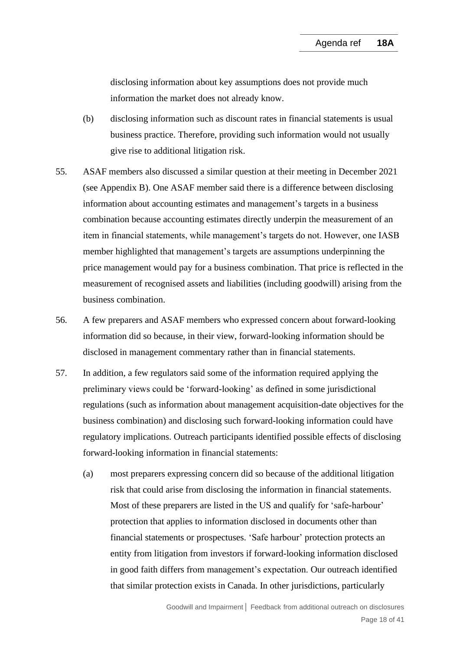disclosing information about key assumptions does not provide much information the market does not already know.

- (b) disclosing information such as discount rates in financial statements is usual business practice. Therefore, providing such information would not usually give rise to additional litigation risk.
- 55. ASAF members also discussed a similar question at their meeting in December 2021 (see Appendix B). One ASAF member said there is a difference between disclosing information about accounting estimates and management's targets in a business combination because accounting estimates directly underpin the measurement of an item in financial statements, while management's targets do not. However, one IASB member highlighted that management's targets are assumptions underpinning the price management would pay for a business combination. That price is reflected in the measurement of recognised assets and liabilities (including goodwill) arising from the business combination.
- 56. A few preparers and ASAF members who expressed concern about forward-looking information did so because, in their view, forward-looking information should be disclosed in management commentary rather than in financial statements.
- <span id="page-17-0"></span>57. In addition, a few regulators said some of the information required applying the preliminary views could be 'forward-looking' as defined in some jurisdictional regulations (such as information about management acquisition-date objectives for the business combination) and disclosing such forward-looking information could have regulatory implications. Outreach participants identified possible effects of disclosing forward-looking information in financial statements:
	- (a) most preparers expressing concern did so because of the additional litigation risk that could arise from disclosing the information in financial statements. Most of these preparers are listed in the US and qualify for 'safe-harbour' protection that applies to information disclosed in documents other than financial statements or prospectuses. 'Safe harbour' protection protects an entity from litigation from investors if forward-looking information disclosed in good faith differs from management's expectation. Our outreach identified that similar protection exists in Canada. In other jurisdictions, particularly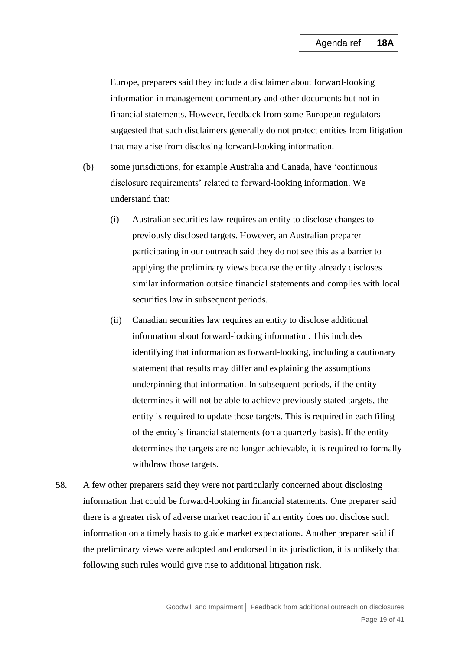Europe, preparers said they include a disclaimer about forward-looking information in management commentary and other documents but not in financial statements. However, feedback from some European regulators suggested that such disclaimers generally do not protect entities from litigation that may arise from disclosing forward-looking information.

- (b) some jurisdictions, for example Australia and Canada, have 'continuous disclosure requirements' related to forward-looking information. We understand that:
	- (i) Australian securities law requires an entity to disclose changes to previously disclosed targets. However, an Australian preparer participating in our outreach said they do not see this as a barrier to applying the preliminary views because the entity already discloses similar information outside financial statements and complies with local securities law in subsequent periods.
	- (ii) Canadian securities law requires an entity to disclose additional information about forward-looking information. This includes identifying that information as forward-looking, including a cautionary statement that results may differ and explaining the assumptions underpinning that information. In subsequent periods, if the entity determines it will not be able to achieve previously stated targets, the entity is required to update those targets. This is required in each filing of the entity's financial statements (on a quarterly basis). If the entity determines the targets are no longer achievable, it is required to formally withdraw those targets.
- 58. A few other preparers said they were not particularly concerned about disclosing information that could be forward-looking in financial statements. One preparer said there is a greater risk of adverse market reaction if an entity does not disclose such information on a timely basis to guide market expectations. Another preparer said if the preliminary views were adopted and endorsed in its jurisdiction, it is unlikely that following such rules would give rise to additional litigation risk.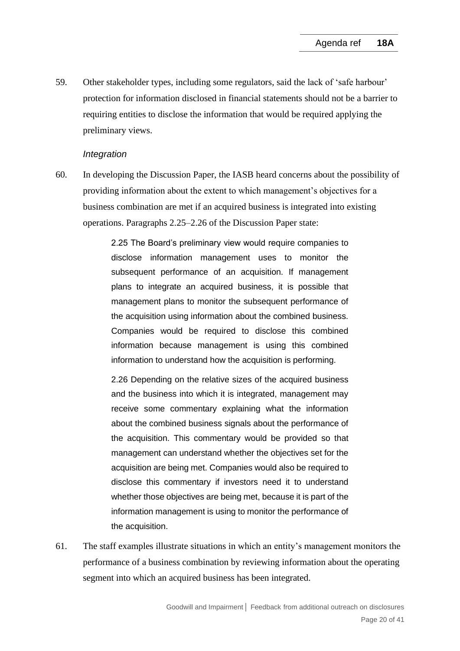<span id="page-19-0"></span>59. Other stakeholder types, including some regulators, said the lack of 'safe harbour' protection for information disclosed in financial statements should not be a barrier to requiring entities to disclose the information that would be required applying the preliminary views.

#### *Integration*

<span id="page-19-1"></span>60. In developing the Discussion Paper, the IASB heard concerns about the possibility of providing information about the extent to which management's objectives for a business combination are met if an acquired business is integrated into existing operations. Paragraphs 2.25–2.26 of the Discussion Paper state:

> 2.25 The Board's preliminary view would require companies to disclose information management uses to monitor the subsequent performance of an acquisition. If management plans to integrate an acquired business, it is possible that management plans to monitor the subsequent performance of the acquisition using information about the combined business. Companies would be required to disclose this combined information because management is using this combined information to understand how the acquisition is performing.

> 2.26 Depending on the relative sizes of the acquired business and the business into which it is integrated, management may receive some commentary explaining what the information about the combined business signals about the performance of the acquisition. This commentary would be provided so that management can understand whether the objectives set for the acquisition are being met. Companies would also be required to disclose this commentary if investors need it to understand whether those objectives are being met, because it is part of the information management is using to monitor the performance of the acquisition.

61. The staff examples illustrate situations in which an entity's management monitors the performance of a business combination by reviewing information about the operating segment into which an acquired business has been integrated.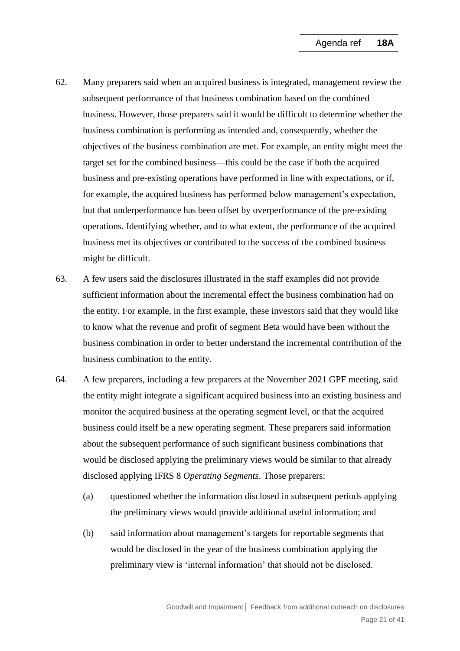- <span id="page-20-0"></span>62. Many preparers said when an acquired business is integrated, management review the subsequent performance of that business combination based on the combined business. However, those preparers said it would be difficult to determine whether the business combination is performing as intended and, consequently, whether the objectives of the business combination are met. For example, an entity might meet the target set for the combined business—this could be the case if both the acquired business and pre-existing operations have performed in line with expectations, or if, for example, the acquired business has performed below management's expectation, but that underperformance has been offset by overperformance of the pre-existing operations. Identifying whether, and to what extent, the performance of the acquired business met its objectives or contributed to the success of the combined business might be difficult.
- 63. A few users said the disclosures illustrated in the staff examples did not provide sufficient information about the incremental effect the business combination had on the entity. For example, in the first example, these investors said that they would like to know what the revenue and profit of segment Beta would have been without the business combination in order to better understand the incremental contribution of the business combination to the entity.
- 64. A few preparers, including a few preparers at the November 2021 GPF meeting, said the entity might integrate a significant acquired business into an existing business and monitor the acquired business at the operating segment level, or that the acquired business could itself be a new operating segment. These preparers said information about the subsequent performance of such significant business combinations that would be disclosed applying the preliminary views would be similar to that already disclosed applying IFRS 8 *Operating Segments*. Those preparers:
	- (a) questioned whether the information disclosed in subsequent periods applying the preliminary views would provide additional useful information; and
	- (b) said information about management's targets for reportable segments that would be disclosed in the year of the business combination applying the preliminary view is 'internal information' that should not be disclosed.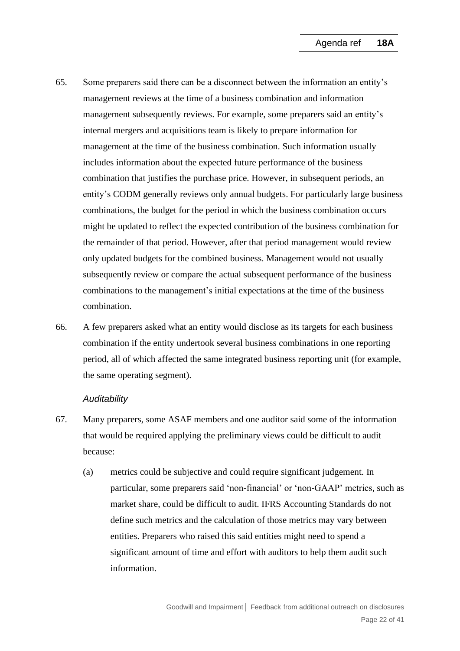- 65. Some preparers said there can be a disconnect between the information an entity's management reviews at the time of a business combination and information management subsequently reviews. For example, some preparers said an entity's internal mergers and acquisitions team is likely to prepare information for management at the time of the business combination. Such information usually includes information about the expected future performance of the business combination that justifies the purchase price. However, in subsequent periods, an entity's CODM generally reviews only annual budgets. For particularly large business combinations, the budget for the period in which the business combination occurs might be updated to reflect the expected contribution of the business combination for the remainder of that period. However, after that period management would review only updated budgets for the combined business. Management would not usually subsequently review or compare the actual subsequent performance of the business combinations to the management's initial expectations at the time of the business combination.
- <span id="page-21-0"></span>66. A few preparers asked what an entity would disclose as its targets for each business combination if the entity undertook several business combinations in one reporting period, all of which affected the same integrated business reporting unit (for example, the same operating segment).

#### *Auditability*

- <span id="page-21-1"></span>67. Many preparers, some ASAF members and one auditor said some of the information that would be required applying the preliminary views could be difficult to audit because:
	- (a) metrics could be subjective and could require significant judgement. In particular, some preparers said 'non-financial' or 'non-GAAP' metrics, such as market share, could be difficult to audit. IFRS Accounting Standards do not define such metrics and the calculation of those metrics may vary between entities. Preparers who raised this said entities might need to spend a significant amount of time and effort with auditors to help them audit such information.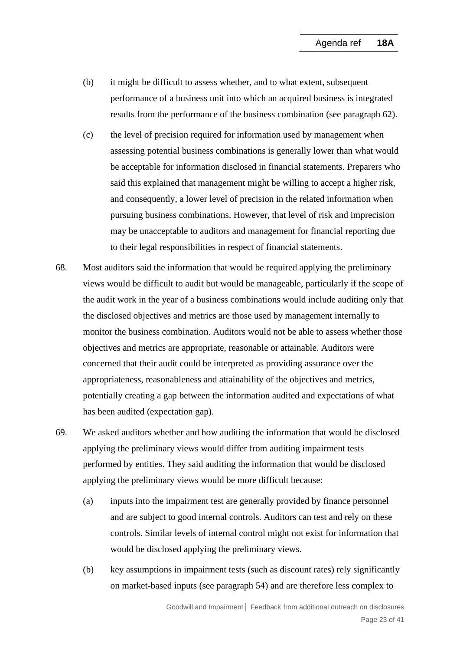- (b) it might be difficult to assess whether, and to what extent, subsequent performance of a business unit into which an acquired business is integrated results from the performance of the business combination (see paragraph [62\)](#page-20-0).
- (c) the level of precision required for information used by management when assessing potential business combinations is generally lower than what would be acceptable for information disclosed in financial statements. Preparers who said this explained that management might be willing to accept a higher risk, and consequently, a lower level of precision in the related information when pursuing business combinations. However, that level of risk and imprecision may be unacceptable to auditors and management for financial reporting due to their legal responsibilities in respect of financial statements.
- 68. Most auditors said the information that would be required applying the preliminary views would be difficult to audit but would be manageable, particularly if the scope of the audit work in the year of a business combinations would include auditing only that the disclosed objectives and metrics are those used by management internally to monitor the business combination. Auditors would not be able to assess whether those objectives and metrics are appropriate, reasonable or attainable. Auditors were concerned that their audit could be interpreted as providing assurance over the appropriateness, reasonableness and attainability of the objectives and metrics, potentially creating a gap between the information audited and expectations of what has been audited (expectation gap).
- 69. We asked auditors whether and how auditing the information that would be disclosed applying the preliminary views would differ from auditing impairment tests performed by entities. They said auditing the information that would be disclosed applying the preliminary views would be more difficult because:
	- (a) inputs into the impairment test are generally provided by finance personnel and are subject to good internal controls. Auditors can test and rely on these controls. Similar levels of internal control might not exist for information that would be disclosed applying the preliminary views.
	- (b) key assumptions in impairment tests (such as discount rates) rely significantly on market-based inputs (see paragraph [54\)](#page-16-1) and are therefore less complex to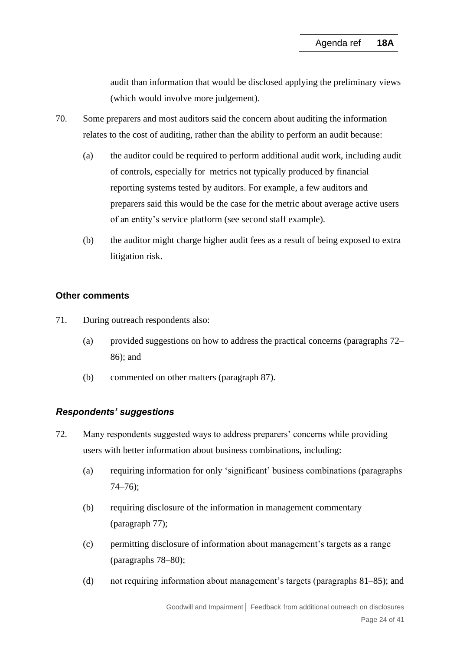audit than information that would be disclosed applying the preliminary views (which would involve more judgement).

- <span id="page-23-0"></span>70. Some preparers and most auditors said the concern about auditing the information relates to the cost of auditing, rather than the ability to perform an audit because:
	- (a) the auditor could be required to perform additional audit work, including audit of controls, especially for metrics not typically produced by financial reporting systems tested by auditors. For example, a few auditors and preparers said this would be the case for the metric about average active users of an entity's service platform (see second staff example).
	- (b) the auditor might charge higher audit fees as a result of being exposed to extra litigation risk.

# **Other comments**

- 71. During outreach respondents also:
	- (a) provided suggestions on how to address the practical concerns (paragraphs [72–](#page-23-1) [86\)](#page-27-0); and
	- (b) commented on other matters (paragraph [87\)](#page-27-1).

# *Respondents' suggestions*

- <span id="page-23-1"></span>72. Many respondents suggested ways to address preparers' concerns while providing users with better information about business combinations, including:
	- (a) requiring information for only 'significant' business combinations (paragraphs [74–](#page-24-0)[76\)](#page-24-1);
	- (b) requiring disclosure of the information in management commentary (paragraph [77\)](#page-25-0);
	- (c) permitting disclosure of information about management's targets as a range (paragraphs [78–](#page-25-1)[80\)](#page-26-0);
	- (d) not requiring information about management's targets (paragraphs [81](#page-26-1)[–85\)](#page-27-2); and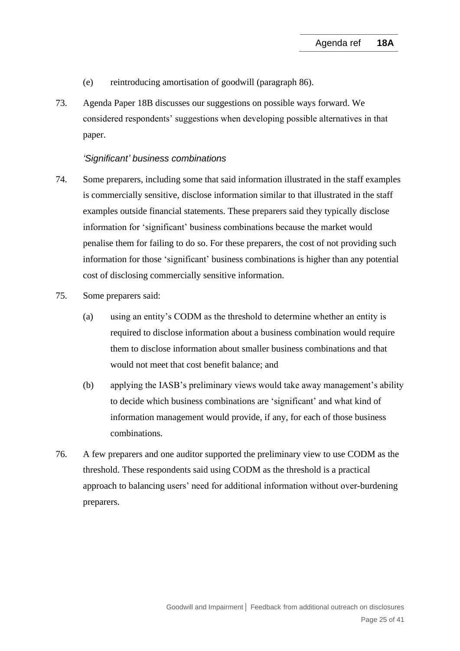- (e) reintroducing amortisation of goodwill (paragraph [86\)](#page-27-0).
- 73. Agenda Paper 18B discusses our suggestions on possible ways forward. We considered respondents' suggestions when developing possible alternatives in that paper.

#### *'Significant' business combinations*

- <span id="page-24-0"></span>74. Some preparers, including some that said information illustrated in the staff examples is commercially sensitive, disclose information similar to that illustrated in the staff examples outside financial statements. These preparers said they typically disclose information for 'significant' business combinations because the market would penalise them for failing to do so. For these preparers, the cost of not providing such information for those 'significant' business combinations is higher than any potential cost of disclosing commercially sensitive information.
- 75. Some preparers said:
	- (a) using an entity's CODM as the threshold to determine whether an entity is required to disclose information about a business combination would require them to disclose information about smaller business combinations and that would not meet that cost benefit balance; and
	- (b) applying the IASB's preliminary views would take away management's ability to decide which business combinations are 'significant' and what kind of information management would provide, if any, for each of those business combinations.
- <span id="page-24-1"></span>76. A few preparers and one auditor supported the preliminary view to use CODM as the threshold. These respondents said using CODM as the threshold is a practical approach to balancing users' need for additional information without over-burdening preparers.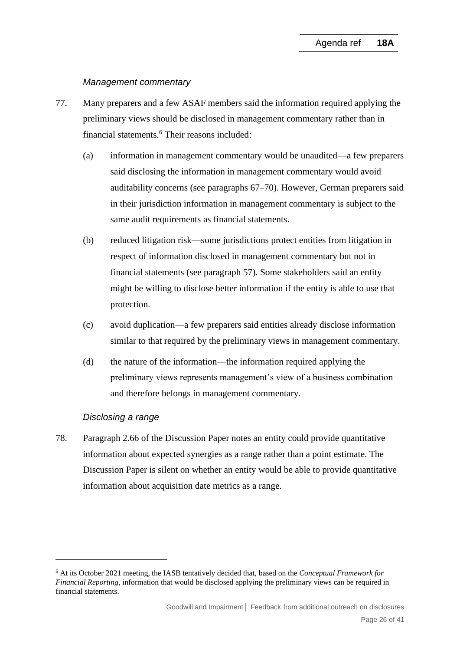#### *Management commentary*

- <span id="page-25-0"></span>77. Many preparers and a few ASAF members said the information required applying the preliminary views should be disclosed in management commentary rather than in financial statements.<sup>6</sup> Their reasons included:
	- (a) information in management commentary would be unaudited—a few preparers said disclosing the information in management commentary would avoid auditability concerns (see paragraphs [67](#page-21-1)[–70\)](#page-23-0). However, German preparers said in their jurisdiction information in management commentary is subject to the same audit requirements as financial statements.
	- (b) reduced litigation risk—some jurisdictions protect entities from litigation in respect of information disclosed in management commentary but not in financial statements (see paragraph [57\)](#page-17-0). Some stakeholders said an entity might be willing to disclose better information if the entity is able to use that protection.
	- (c) avoid duplication—a few preparers said entities already disclose information similar to that required by the preliminary views in management commentary.
	- (d) the nature of the information—the information required applying the preliminary views represents management's view of a business combination and therefore belongs in management commentary.

#### *Disclosing a range*

<span id="page-25-1"></span>78. Paragraph 2.66 of the Discussion Paper notes an entity could provide quantitative information about expected synergies as a range rather than a point estimate. The Discussion Paper is silent on whether an entity would be able to provide quantitative information about acquisition date metrics as a range.

<sup>6</sup> At its October 2021 meeting, the IASB tentatively decided that, based on the *Conceptual Framework for Financial Reporting*, information that would be disclosed applying the preliminary views can be required in financial statements.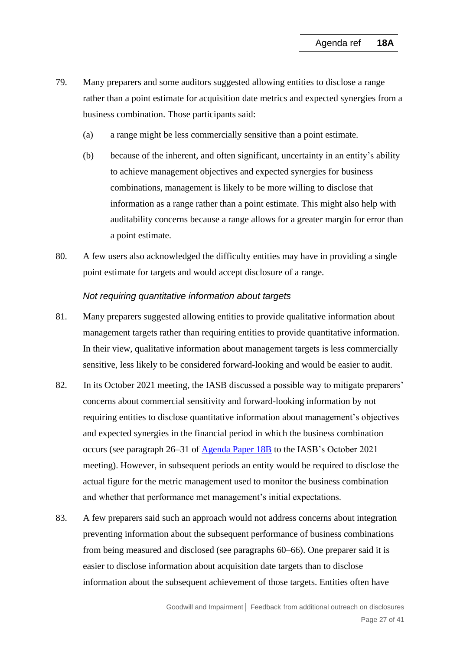- 79. Many preparers and some auditors suggested allowing entities to disclose a range rather than a point estimate for acquisition date metrics and expected synergies from a business combination. Those participants said:
	- (a) a range might be less commercially sensitive than a point estimate.
	- (b) because of the inherent, and often significant, uncertainty in an entity's ability to achieve management objectives and expected synergies for business combinations, management is likely to be more willing to disclose that information as a range rather than a point estimate. This might also help with auditability concerns because a range allows for a greater margin for error than a point estimate.
- <span id="page-26-0"></span>80. A few users also acknowledged the difficulty entities may have in providing a single point estimate for targets and would accept disclosure of a range.

#### *Not requiring quantitative information about targets*

- <span id="page-26-1"></span>81. Many preparers suggested allowing entities to provide qualitative information about management targets rather than requiring entities to provide quantitative information. In their view, qualitative information about management targets is less commercially sensitive, less likely to be considered forward-looking and would be easier to audit.
- 82. In its October 2021 meeting, the IASB discussed a possible way to mitigate preparers' concerns about commercial sensitivity and forward-looking information by not requiring entities to disclose quantitative information about management's objectives and expected synergies in the financial period in which the business combination occurs (see paragraph 26–31 of [Agenda Paper 18B](https://www.ifrs.org/content/dam/ifrs/meetings/2021/october/iasb/ap18b-goodwill-impairment-practical-challenges-for-forward-looking-information.pdf) to the IASB's October 2021 meeting). However, in subsequent periods an entity would be required to disclose the actual figure for the metric management used to monitor the business combination and whether that performance met management's initial expectations.
- 83. A few preparers said such an approach would not address concerns about integration preventing information about the subsequent performance of business combinations from being measured and disclosed (see paragraphs [60–](#page-19-1)[66\)](#page-21-0). One preparer said it is easier to disclose information about acquisition date targets than to disclose information about the subsequent achievement of those targets. Entities often have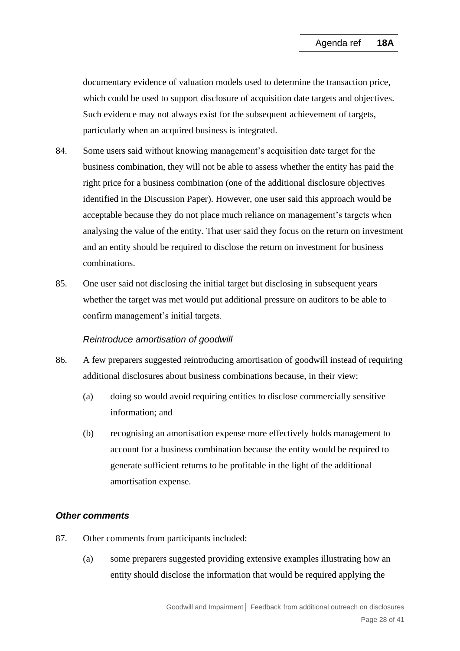documentary evidence of valuation models used to determine the transaction price, which could be used to support disclosure of acquisition date targets and objectives. Such evidence may not always exist for the subsequent achievement of targets, particularly when an acquired business is integrated.

- 84. Some users said without knowing management's acquisition date target for the business combination, they will not be able to assess whether the entity has paid the right price for a business combination (one of the additional disclosure objectives identified in the Discussion Paper). However, one user said this approach would be acceptable because they do not place much reliance on management's targets when analysing the value of the entity. That user said they focus on the return on investment and an entity should be required to disclose the return on investment for business combinations.
- <span id="page-27-2"></span>85. One user said not disclosing the initial target but disclosing in subsequent years whether the target was met would put additional pressure on auditors to be able to confirm management's initial targets.

#### *Reintroduce amortisation of goodwill*

- <span id="page-27-0"></span>86. A few preparers suggested reintroducing amortisation of goodwill instead of requiring additional disclosures about business combinations because, in their view:
	- (a) doing so would avoid requiring entities to disclose commercially sensitive information; and
	- (b) recognising an amortisation expense more effectively holds management to account for a business combination because the entity would be required to generate sufficient returns to be profitable in the light of the additional amortisation expense.

# *Other comments*

- <span id="page-27-1"></span>87. Other comments from participants included:
	- (a) some preparers suggested providing extensive examples illustrating how an entity should disclose the information that would be required applying the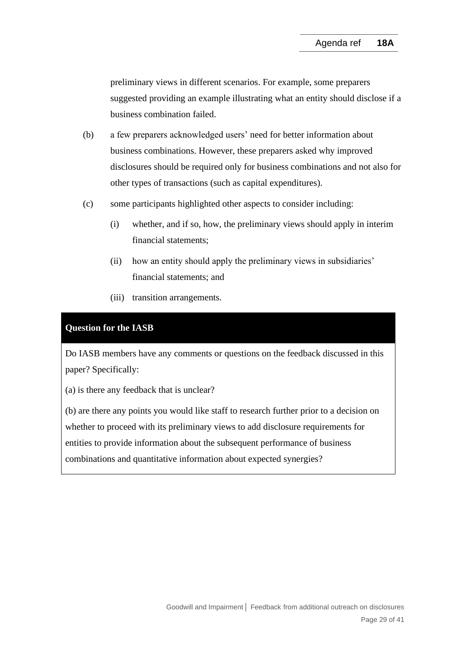preliminary views in different scenarios. For example, some preparers suggested providing an example illustrating what an entity should disclose if a business combination failed.

- (b) a few preparers acknowledged users' need for better information about business combinations. However, these preparers asked why improved disclosures should be required only for business combinations and not also for other types of transactions (such as capital expenditures).
- (c) some participants highlighted other aspects to consider including:
	- (i) whether, and if so, how, the preliminary views should apply in interim financial statements;
	- (ii) how an entity should apply the preliminary views in subsidiaries' financial statements; and
	- (iii) transition arrangements.

# **Question for the IASB**

Do IASB members have any comments or questions on the feedback discussed in this paper? Specifically:

(a) is there any feedback that is unclear?

(b) are there any points you would like staff to research further prior to a decision on whether to proceed with its preliminary views to add disclosure requirements for entities to provide information about the subsequent performance of business combinations and quantitative information about expected synergies?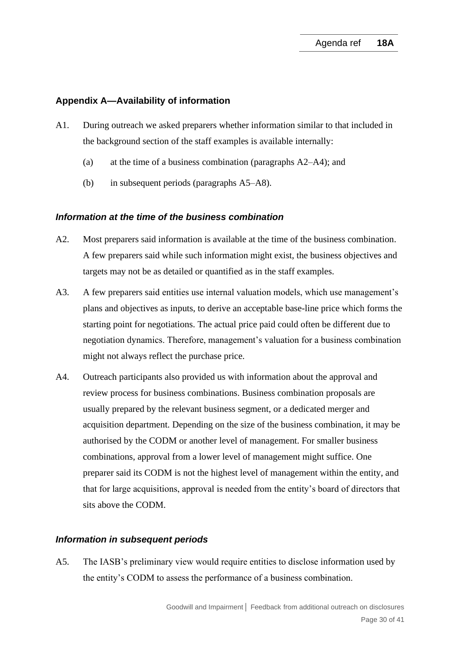### **Appendix A—Availability of information**

- A1. During outreach we asked preparers whether information similar to that included in the background section of the staff examples is available internally:
	- (a) at the time of a business combination (paragraphs [A2–](#page-29-0)[A4\)](#page-29-1); and
	- (b) in subsequent periods (paragraphs [A5](#page-29-2)[–A8\)](#page-30-0).

### *Information at the time of the business combination*

- <span id="page-29-0"></span>A2. Most preparers said information is available at the time of the business combination. A few preparers said while such information might exist, the business objectives and targets may not be as detailed or quantified as in the staff examples.
- A3. A few preparers said entities use internal valuation models, which use management's plans and objectives as inputs, to derive an acceptable base-line price which forms the starting point for negotiations. The actual price paid could often be different due to negotiation dynamics. Therefore, management's valuation for a business combination might not always reflect the purchase price.
- <span id="page-29-1"></span>A4. Outreach participants also provided us with information about the approval and review process for business combinations. Business combination proposals are usually prepared by the relevant business segment, or a dedicated merger and acquisition department. Depending on the size of the business combination, it may be authorised by the CODM or another level of management. For smaller business combinations, approval from a lower level of management might suffice. One preparer said its CODM is not the highest level of management within the entity, and that for large acquisitions, approval is needed from the entity's board of directors that sits above the CODM.

#### *Information in subsequent periods*

<span id="page-29-2"></span>A5. The IASB's preliminary view would require entities to disclose information used by the entity's CODM to assess the performance of a business combination.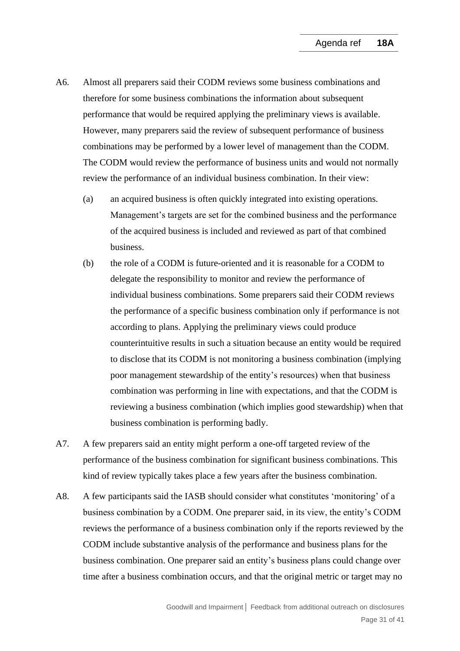- A6. Almost all preparers said their CODM reviews some business combinations and therefore for some business combinations the information about subsequent performance that would be required applying the preliminary views is available. However, many preparers said the review of subsequent performance of business combinations may be performed by a lower level of management than the CODM. The CODM would review the performance of business units and would not normally review the performance of an individual business combination. In their view:
	- (a) an acquired business is often quickly integrated into existing operations. Management's targets are set for the combined business and the performance of the acquired business is included and reviewed as part of that combined business.
	- (b) the role of a CODM is future-oriented and it is reasonable for a CODM to delegate the responsibility to monitor and review the performance of individual business combinations. Some preparers said their CODM reviews the performance of a specific business combination only if performance is not according to plans. Applying the preliminary views could produce counterintuitive results in such a situation because an entity would be required to disclose that its CODM is not monitoring a business combination (implying poor management stewardship of the entity's resources) when that business combination was performing in line with expectations, and that the CODM is reviewing a business combination (which implies good stewardship) when that business combination is performing badly.
- A7. A few preparers said an entity might perform a one-off targeted review of the performance of the business combination for significant business combinations. This kind of review typically takes place a few years after the business combination.
- <span id="page-30-0"></span>A8. A few participants said the IASB should consider what constitutes 'monitoring' of a business combination by a CODM. One preparer said, in its view, the entity's CODM reviews the performance of a business combination only if the reports reviewed by the CODM include substantive analysis of the performance and business plans for the business combination. One preparer said an entity's business plans could change over time after a business combination occurs, and that the original metric or target may no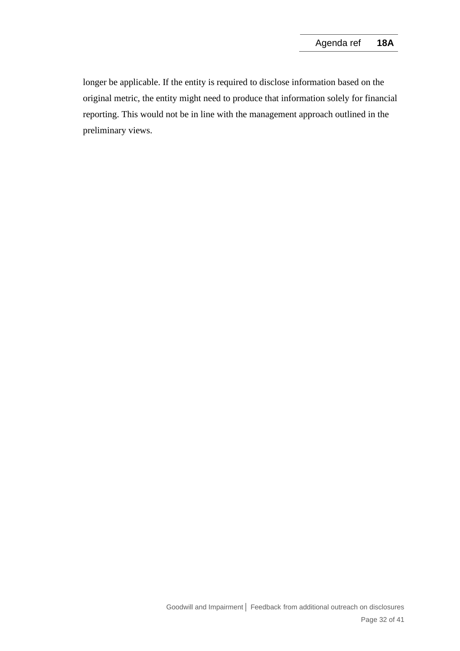longer be applicable. If the entity is required to disclose information based on the original metric, the entity might need to produce that information solely for financial reporting. This would not be in line with the management approach outlined in the preliminary views.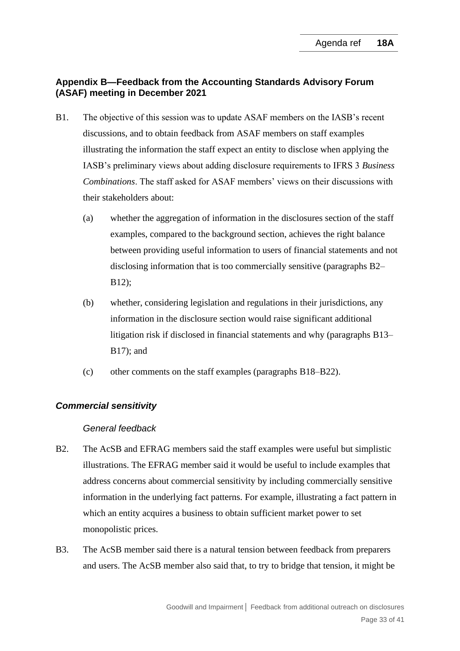# **Appendix B—Feedback from the Accounting Standards Advisory Forum (ASAF) meeting in December 2021**

- B1. The objective of this session was to update ASAF members on the IASB's recent discussions, and to obtain feedback from ASAF members on staff examples illustrating the information the staff expect an entity to disclose when applying the IASB's preliminary views about adding disclosure requirements to IFRS 3 *Business Combinations*. The staff asked for ASAF members' views on their discussions with their stakeholders about:
	- (a) whether the aggregation of information in the disclosures section of the staff examples, compared to the background section, achieves the right balance between providing useful information to users of financial statements and not disclosing information that is too commercially sensitive (paragraphs [B2–](#page-32-0) [B12\)](#page-34-0);
	- (b) whether, considering legislation and regulations in their jurisdictions, any information in the disclosure section would raise significant additional litigation risk if disclosed in financial statements and why (paragraphs [B13–](#page-34-1) [B17\)](#page-35-0); and
	- (c) other comments on the staff examples (paragraphs [B18–](#page-35-1)[B22\)](#page-36-0).

# *Commercial sensitivity*

#### *General feedback*

- <span id="page-32-0"></span>B2. The AcSB and EFRAG members said the staff examples were useful but simplistic illustrations. The EFRAG member said it would be useful to include examples that address concerns about commercial sensitivity by including commercially sensitive information in the underlying fact patterns. For example, illustrating a fact pattern in which an entity acquires a business to obtain sufficient market power to set monopolistic prices.
- B3. The AcSB member said there is a natural tension between feedback from preparers and users. The AcSB member also said that, to try to bridge that tension, it might be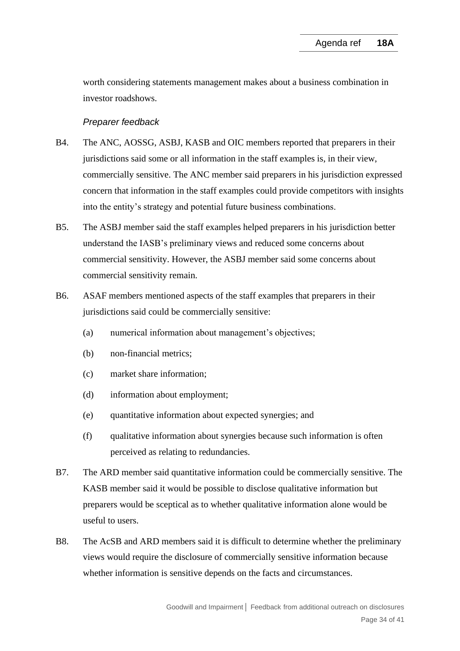worth considering statements management makes about a business combination in investor roadshows.

### *Preparer feedback*

- B4. The ANC, AOSSG, ASBJ, KASB and OIC members reported that preparers in their jurisdictions said some or all information in the staff examples is, in their view, commercially sensitive. The ANC member said preparers in his jurisdiction expressed concern that information in the staff examples could provide competitors with insights into the entity's strategy and potential future business combinations.
- B5. The ASBJ member said the staff examples helped preparers in his jurisdiction better understand the IASB's preliminary views and reduced some concerns about commercial sensitivity. However, the ASBJ member said some concerns about commercial sensitivity remain.
- B6. ASAF members mentioned aspects of the staff examples that preparers in their jurisdictions said could be commercially sensitive:
	- (a) numerical information about management's objectives;
	- (b) non-financial metrics;
	- (c) market share information;
	- (d) information about employment;
	- (e) quantitative information about expected synergies; and
	- (f) qualitative information about synergies because such information is often perceived as relating to redundancies.
- B7. The ARD member said quantitative information could be commercially sensitive. The KASB member said it would be possible to disclose qualitative information but preparers would be sceptical as to whether qualitative information alone would be useful to users.
- B8. The AcSB and ARD members said it is difficult to determine whether the preliminary views would require the disclosure of commercially sensitive information because whether information is sensitive depends on the facts and circumstances.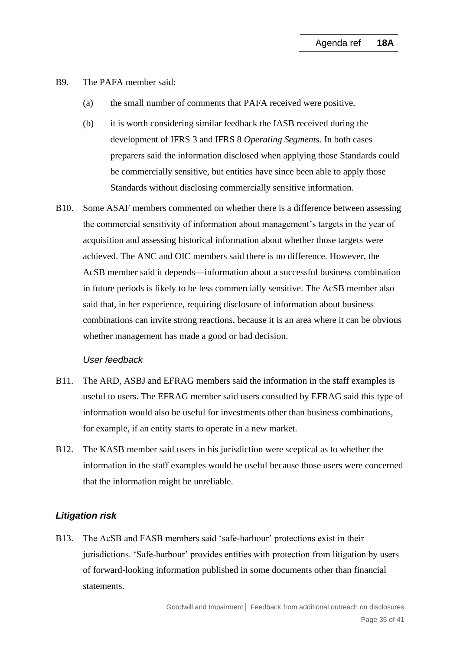- B9. The PAFA member said:
	- (a) the small number of comments that PAFA received were positive.
	- (b) it is worth considering similar feedback the IASB received during the development of IFRS 3 and IFRS 8 *Operating Segments*. In both cases preparers said the information disclosed when applying those Standards could be commercially sensitive, but entities have since been able to apply those Standards without disclosing commercially sensitive information.
- B10. Some ASAF members commented on whether there is a difference between assessing the commercial sensitivity of information about management's targets in the year of acquisition and assessing historical information about whether those targets were achieved. The ANC and OIC members said there is no difference. However, the AcSB member said it depends—information about a successful business combination in future periods is likely to be less commercially sensitive. The AcSB member also said that, in her experience, requiring disclosure of information about business combinations can invite strong reactions, because it is an area where it can be obvious whether management has made a good or bad decision.

#### *User feedback*

- B11. The ARD, ASBJ and EFRAG members said the information in the staff examples is useful to users. The EFRAG member said users consulted by EFRAG said this type of information would also be useful for investments other than business combinations, for example, if an entity starts to operate in a new market.
- <span id="page-34-0"></span>B12. The KASB member said users in his jurisdiction were sceptical as to whether the information in the staff examples would be useful because those users were concerned that the information might be unreliable.

### *Litigation risk*

<span id="page-34-1"></span>B13. The AcSB and FASB members said 'safe-harbour' protections exist in their jurisdictions. 'Safe-harbour' provides entities with protection from litigation by users of forward-looking information published in some documents other than financial statements.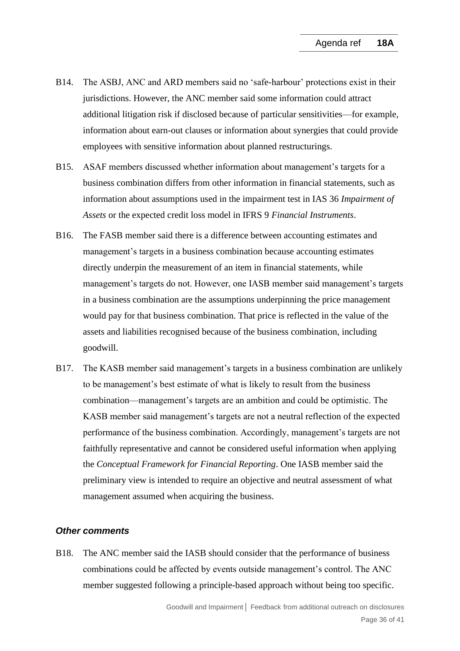- B14. The ASBJ, ANC and ARD members said no 'safe-harbour' protections exist in their jurisdictions. However, the ANC member said some information could attract additional litigation risk if disclosed because of particular sensitivities—for example, information about earn-out clauses or information about synergies that could provide employees with sensitive information about planned restructurings.
- B15. ASAF members discussed whether information about management's targets for a business combination differs from other information in financial statements, such as information about assumptions used in the impairment test in IAS 36 *Impairment of Assets* or the expected credit loss model in IFRS 9 *Financial Instruments*.
- B16. The FASB member said there is a difference between accounting estimates and management's targets in a business combination because accounting estimates directly underpin the measurement of an item in financial statements, while management's targets do not. However, one IASB member said management's targets in a business combination are the assumptions underpinning the price management would pay for that business combination. That price is reflected in the value of the assets and liabilities recognised because of the business combination, including goodwill.
- <span id="page-35-0"></span>B17. The KASB member said management's targets in a business combination are unlikely to be management's best estimate of what is likely to result from the business combination—management's targets are an ambition and could be optimistic. The KASB member said management's targets are not a neutral reflection of the expected performance of the business combination. Accordingly, management's targets are not faithfully representative and cannot be considered useful information when applying the *Conceptual Framework for Financial Reporting*. One IASB member said the preliminary view is intended to require an objective and neutral assessment of what management assumed when acquiring the business.

#### *Other comments*

<span id="page-35-1"></span>B18. The ANC member said the IASB should consider that the performance of business combinations could be affected by events outside management's control. The ANC member suggested following a principle-based approach without being too specific.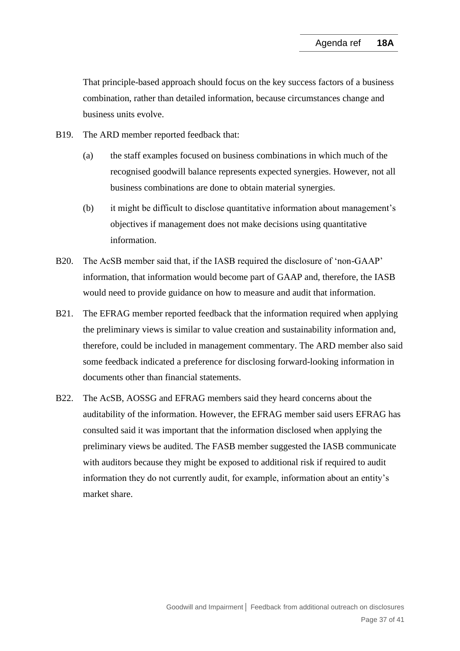That principle-based approach should focus on the key success factors of a business combination, rather than detailed information, because circumstances change and business units evolve.

- B19. The ARD member reported feedback that:
	- (a) the staff examples focused on business combinations in which much of the recognised goodwill balance represents expected synergies. However, not all business combinations are done to obtain material synergies.
	- (b) it might be difficult to disclose quantitative information about management's objectives if management does not make decisions using quantitative information.
- B20. The AcSB member said that, if the IASB required the disclosure of 'non-GAAP' information, that information would become part of GAAP and, therefore, the IASB would need to provide guidance on how to measure and audit that information.
- B21. The EFRAG member reported feedback that the information required when applying the preliminary views is similar to value creation and sustainability information and, therefore, could be included in management commentary. The ARD member also said some feedback indicated a preference for disclosing forward-looking information in documents other than financial statements.
- <span id="page-36-0"></span>B22. The AcSB, AOSSG and EFRAG members said they heard concerns about the auditability of the information. However, the EFRAG member said users EFRAG has consulted said it was important that the information disclosed when applying the preliminary views be audited. The FASB member suggested the IASB communicate with auditors because they might be exposed to additional risk if required to audit information they do not currently audit, for example, information about an entity's market share.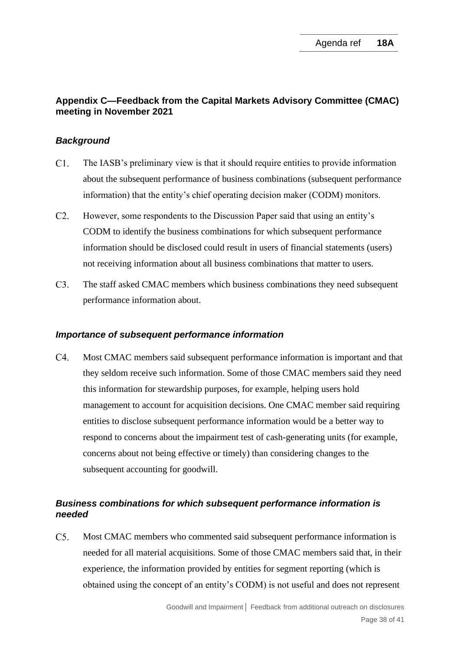# **Appendix C—Feedback from the Capital Markets Advisory Committee (CMAC) meeting in November 2021**

### *Background*

- $C1.$ The IASB's preliminary view is that it should require entities to provide information about the subsequent performance of business combinations (subsequent performance information) that the entity's chief operating decision maker (CODM) monitors.
- $C2.$ However, some respondents to the Discussion Paper said that using an entity's CODM to identify the business combinations for which subsequent performance information should be disclosed could result in users of financial statements (users) not receiving information about all business combinations that matter to users.
- $C3$ The staff asked CMAC members which business combinations they need subsequent performance information about.

#### *Importance of subsequent performance information*

 $C4.$ Most CMAC members said subsequent performance information is important and that they seldom receive such information. Some of those CMAC members said they need this information for stewardship purposes, for example, helping users hold management to account for acquisition decisions. One CMAC member said requiring entities to disclose subsequent performance information would be a better way to respond to concerns about the impairment test of cash-generating units (for example, concerns about not being effective or timely) than considering changes to the subsequent accounting for goodwill.

# *Business combinations for which subsequent performance information is needed*

 $C5.$ Most CMAC members who commented said subsequent performance information is needed for all material acquisitions. Some of those CMAC members said that, in their experience, the information provided by entities for segment reporting (which is obtained using the concept of an entity's CODM) is not useful and does not represent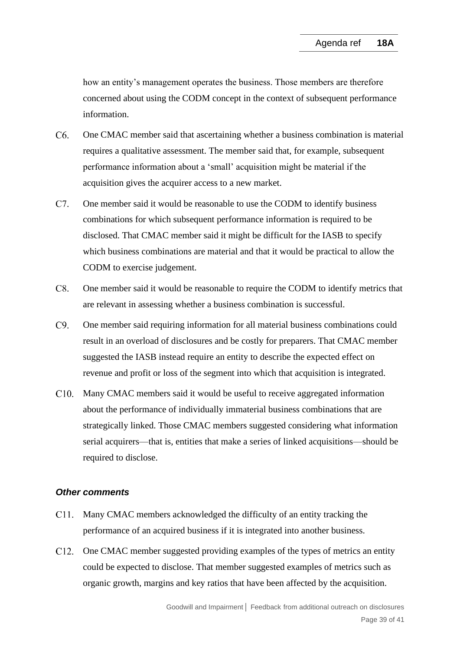how an entity's management operates the business. Those members are therefore concerned about using the CODM concept in the context of subsequent performance information.

- $C6.$ One CMAC member said that ascertaining whether a business combination is material requires a qualitative assessment. The member said that, for example, subsequent performance information about a 'small' acquisition might be material if the acquisition gives the acquirer access to a new market.
- $C7.$ One member said it would be reasonable to use the CODM to identify business combinations for which subsequent performance information is required to be disclosed. That CMAC member said it might be difficult for the IASB to specify which business combinations are material and that it would be practical to allow the CODM to exercise judgement.
- $C8.$ One member said it would be reasonable to require the CODM to identify metrics that are relevant in assessing whether a business combination is successful.
- $C9.$ One member said requiring information for all material business combinations could result in an overload of disclosures and be costly for preparers. That CMAC member suggested the IASB instead require an entity to describe the expected effect on revenue and profit or loss of the segment into which that acquisition is integrated.
- C10. Many CMAC members said it would be useful to receive aggregated information about the performance of individually immaterial business combinations that are strategically linked. Those CMAC members suggested considering what information serial acquirers—that is, entities that make a series of linked acquisitions—should be required to disclose.

### *Other comments*

- C11. Many CMAC members acknowledged the difficulty of an entity tracking the performance of an acquired business if it is integrated into another business.
- C12. One CMAC member suggested providing examples of the types of metrics an entity could be expected to disclose. That member suggested examples of metrics such as organic growth, margins and key ratios that have been affected by the acquisition.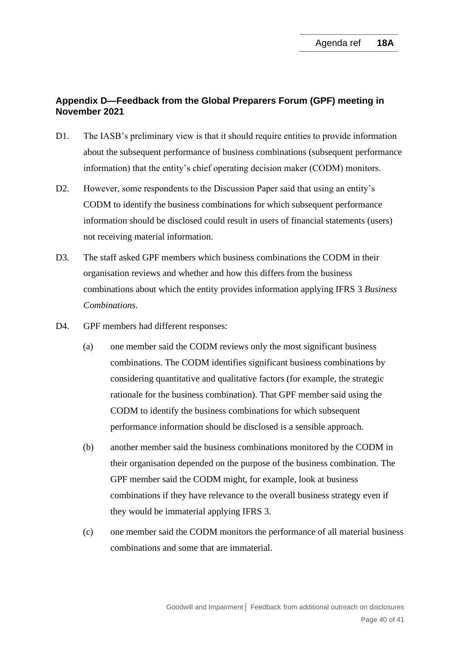# **Appendix D—Feedback from the Global Preparers Forum (GPF) meeting in November 2021**

- D1. The IASB's preliminary view is that it should require entities to provide information about the subsequent performance of business combinations (subsequent performance information) that the entity's chief operating decision maker (CODM) monitors.
- D2. However, some respondents to the Discussion Paper said that using an entity's CODM to identify the business combinations for which subsequent performance information should be disclosed could result in users of financial statements (users) not receiving material information.
- D3. The staff asked GPF members which business combinations the CODM in their organisation reviews and whether and how this differs from the business combinations about which the entity provides information applying IFRS 3 *Business Combinations*.
- D4. GPF members had different responses:
	- (a) one member said the CODM reviews only the most significant business combinations. The CODM identifies significant business combinations by considering quantitative and qualitative factors (for example, the strategic rationale for the business combination). That GPF member said using the CODM to identify the business combinations for which subsequent performance information should be disclosed is a sensible approach.
	- (b) another member said the business combinations monitored by the CODM in their organisation depended on the purpose of the business combination. The GPF member said the CODM might, for example, look at business combinations if they have relevance to the overall business strategy even if they would be immaterial applying IFRS 3.
	- (c) one member said the CODM monitors the performance of all material business combinations and some that are immaterial.